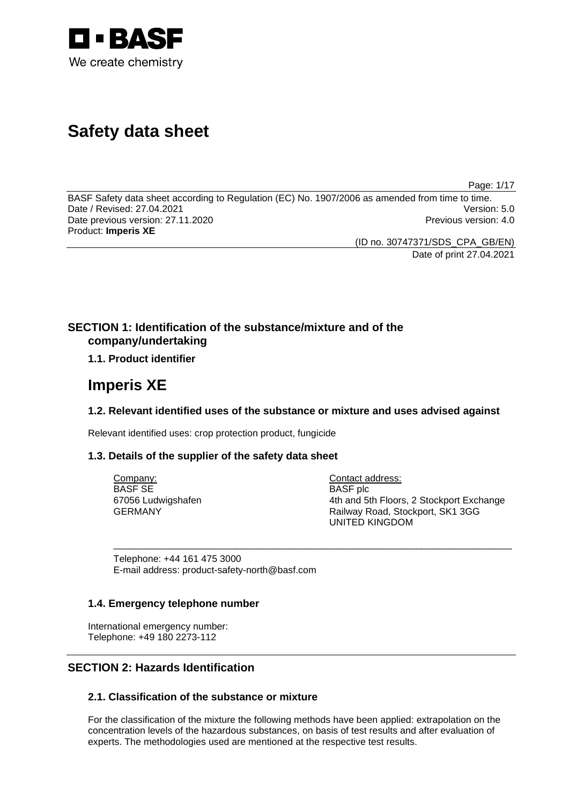

# **Safety data sheet**

Page: 1/17

BASF Safety data sheet according to Regulation (EC) No. 1907/2006 as amended from time to time. Date / Revised: 27.04.2021 Version: 5.0 Date previous version: 27.11.2020 **Previous version: 4.0** Previous version: 4.0 Product: **Imperis XE** 

(ID no. 30747371/SDS\_CPA\_GB/EN)

Date of print 27.04.2021

# **SECTION 1: Identification of the substance/mixture and of the company/undertaking**

# **1.1. Product identifier**

# **Imperis XE**

# **1.2. Relevant identified uses of the substance or mixture and uses advised against**

\_\_\_\_\_\_\_\_\_\_\_\_\_\_\_\_\_\_\_\_\_\_\_\_\_\_\_\_\_\_\_\_\_\_\_\_\_\_\_\_\_\_\_\_\_\_\_\_\_\_\_\_\_\_\_\_\_\_\_\_\_\_\_\_\_\_\_\_\_\_\_\_\_\_\_

Relevant identified uses: crop protection product, fungicide

## **1.3. Details of the supplier of the safety data sheet**

Company: BASF SE 67056 Ludwigshafen GERMANY

Contact address: BASF plc 4th and 5th Floors, 2 Stockport Exchange Railway Road, Stockport, SK1 3GG UNITED KINGDOM

Telephone: +44 161 475 3000 E-mail address: product-safety-north@basf.com

## **1.4. Emergency telephone number**

International emergency number: Telephone: +49 180 2273-112

# **SECTION 2: Hazards Identification**

# **2.1. Classification of the substance or mixture**

For the classification of the mixture the following methods have been applied: extrapolation on the concentration levels of the hazardous substances, on basis of test results and after evaluation of experts. The methodologies used are mentioned at the respective test results.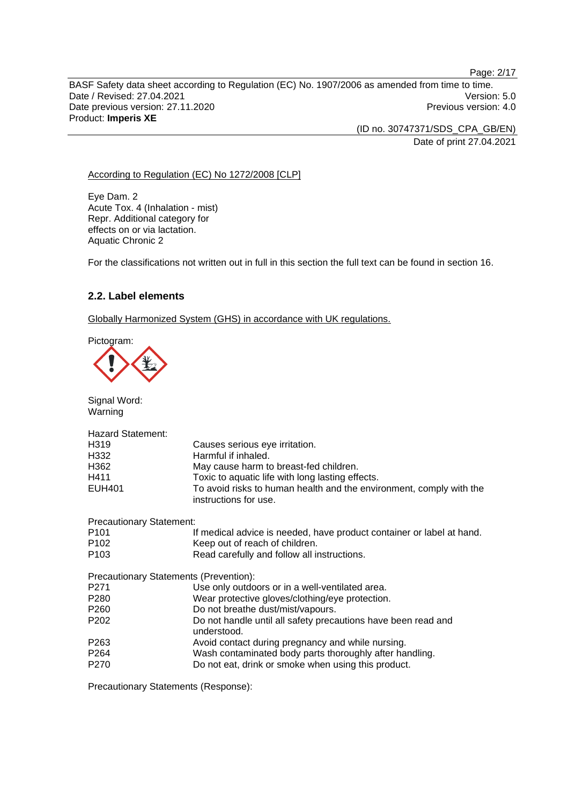BASF Safety data sheet according to Regulation (EC) No. 1907/2006 as amended from time to time. Date / Revised: 27.04.2021 Version: 5.0 Date previous version: 27.11.2020 **Previous version: 4.0** Previous version: 4.0 Product: **Imperis XE** 

(ID no. 30747371/SDS\_CPA\_GB/EN)

Date of print 27.04.2021

## According to Regulation (EC) No 1272/2008 [CLP]

Eye Dam. 2 Acute Tox. 4 (Inhalation - mist) Repr. Additional category for effects on or via lactation. Aquatic Chronic 2

For the classifications not written out in full in this section the full text can be found in section 16.

# **2.2. Label elements**

Globally Harmonized System (GHS) in accordance with UK regulations.

Pictogram:



Signal Word: Warning Hazard Statement: H319 Causes serious eye irritation.<br>H332 Harmful if inhaled. H332 Harmful if inhaled.<br>H362 May cause harm to May cause harm to breast-fed children. H411 Toxic to aquatic life with long lasting effects. EUH401 To avoid risks to human health and the environment, comply with the instructions for use. Precautionary Statement: P101 If medical advice is needed, have product container or label at hand. P102 Keep out of reach of children.<br>P103 Read carefully and follow all in Read carefully and follow all instructions. Precautionary Statements (Prevention): P271 Use only outdoors or in a well-ventilated area. P280 Wear protective gloves/clothing/eye protection. P260 Do not breathe dust/mist/vapours. P202 Do not handle until all safety precautions have been read and understood. P263 **Avoid contact during pregnancy and while nursing.**<br>P264 **Mash contaminated body parts thoroughly after ha** P264 Wash contaminated body parts thoroughly after handling.<br>P270 Do not eat, drink or smoke when using this product. Do not eat, drink or smoke when using this product.

Precautionary Statements (Response):

Page: 2/17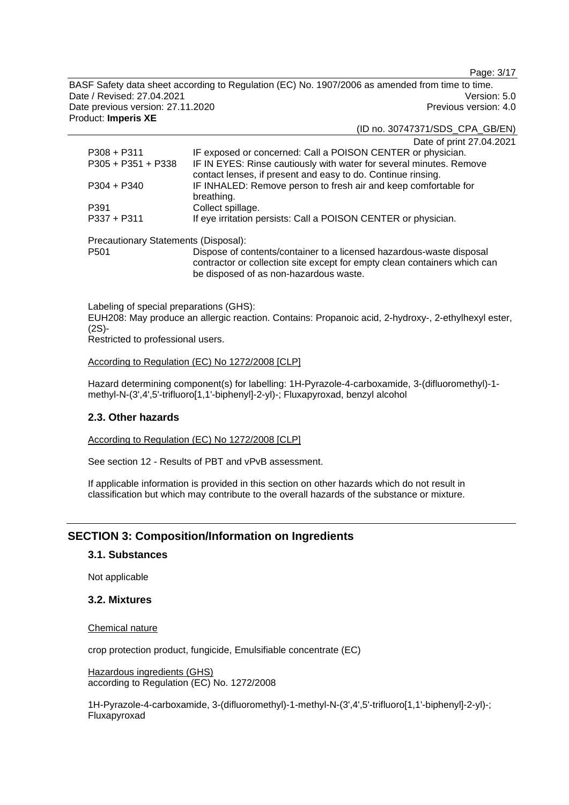Page: 3/17

BASF Safety data sheet according to Regulation (EC) No. 1907/2006 as amended from time to time. Date / Revised: 27.04.2021 Version: 5.0 Date previous version: 27.11.2020 **Previous version: 4.0** Previous version: 4.0 Product: **Imperis XE** 

(ID no. 30747371/SDS\_CPA\_GB/EN)

|                                      | Date of print 27.04.2021                                                                                                                                                                    |
|--------------------------------------|---------------------------------------------------------------------------------------------------------------------------------------------------------------------------------------------|
| $P308 + P311$                        | IF exposed or concerned: Call a POISON CENTER or physician.                                                                                                                                 |
| $P305 + P351 + P338$                 | IF IN EYES: Rinse cautiously with water for several minutes. Remove<br>contact lenses, if present and easy to do. Continue rinsing.                                                         |
| $P304 + P340$                        | IF INHALED: Remove person to fresh air and keep comfortable for<br>breathing.                                                                                                               |
| P391                                 | Collect spillage.                                                                                                                                                                           |
| $P337 + P311$                        | If eye irritation persists: Call a POISON CENTER or physician.                                                                                                                              |
| Precautionary Statements (Disposal): |                                                                                                                                                                                             |
| P <sub>501</sub>                     | Dispose of contents/container to a licensed hazardous-waste disposal<br>contractor or collection site except for empty clean containers which can<br>be disposed of as non-hazardous waste. |

Labeling of special preparations (GHS): EUH208: May produce an allergic reaction. Contains: Propanoic acid, 2-hydroxy-, 2-ethylhexyl ester, (2S)-

Restricted to professional users.

## According to Regulation (EC) No 1272/2008 [CLP]

Hazard determining component(s) for labelling: 1H-Pyrazole-4-carboxamide, 3-(difluoromethyl)-1 methyl-N-(3',4',5'-trifluoro[1,1'-biphenyl]-2-yl)-; Fluxapyroxad, benzyl alcohol

## **2.3. Other hazards**

According to Regulation (EC) No 1272/2008 [CLP]

See section 12 - Results of PBT and vPvB assessment.

If applicable information is provided in this section on other hazards which do not result in classification but which may contribute to the overall hazards of the substance or mixture.

# **SECTION 3: Composition/Information on Ingredients**

## **3.1. Substances**

Not applicable

## **3.2. Mixtures**

## Chemical nature

crop protection product, fungicide, Emulsifiable concentrate (EC)

Hazardous ingredients (GHS) according to Regulation (EC) No. 1272/2008

1H-Pyrazole-4-carboxamide, 3-(difluoromethyl)-1-methyl-N-(3',4',5'-trifluoro[1,1'-biphenyl]-2-yl)-; Fluxapyroxad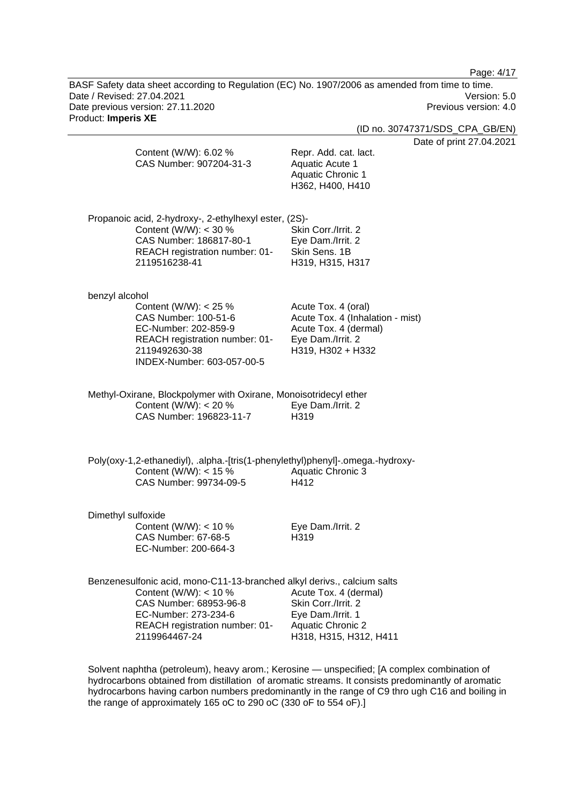Page: 4/17

BASF Safety data sheet according to Regulation (EC) No. 1907/2006 as amended from time to time. Date / Revised: 27.04.2021 Version: 5.0 Date previous version: 27.11.2020 Previous version: 4.0 Product: **Imperis XE** 

(ID no. 30747371/SDS\_CPA\_GB/EN)

of print 27.04.2021

|                    | Content (W/W): 6.02 %<br>CAS Number: 907204-31-3                                                                                                                                                        | Date<br>Repr. Add. cat. lact.<br>Aquatic Acute 1<br><b>Aquatic Chronic 1</b><br>H362, H400, H410                           |
|--------------------|---------------------------------------------------------------------------------------------------------------------------------------------------------------------------------------------------------|----------------------------------------------------------------------------------------------------------------------------|
|                    | Propanoic acid, 2-hydroxy-, 2-ethylhexyl ester, (2S)-<br>Content (W/W): < 30 %<br>CAS Number: 186817-80-1<br>REACH registration number: 01-<br>2119516238-41                                            | Skin Corr./Irrit. 2<br>Eye Dam./Irrit. 2<br>Skin Sens, 1B<br>H319, H315, H317                                              |
| benzyl alcohol     | Content (W/W): $<$ 25 %<br>CAS Number: 100-51-6<br>EC-Number: 202-859-9<br>REACH registration number: 01-<br>2119492630-38<br>INDEX-Number: 603-057-00-5                                                | Acute Tox. 4 (oral)<br>Acute Tox. 4 (Inhalation - mist)<br>Acute Tox. 4 (dermal)<br>Eye Dam./Irrit. 2<br>H319, H302 + H332 |
|                    | Methyl-Oxirane, Blockpolymer with Oxirane, Monoisotridecyl ether<br>Content (W/W): < 20 %<br>CAS Number: 196823-11-7                                                                                    | Eye Dam./Irrit. 2<br>H319                                                                                                  |
|                    | Poly(oxy-1,2-ethanediyl), .alpha.-[tris(1-phenylethyl)phenyl]-.omega.-hydroxy-<br>Content (W/W): $<$ 15 %<br>CAS Number: 99734-09-5                                                                     | Aquatic Chronic 3<br>H412                                                                                                  |
| Dimethyl sulfoxide | Content (W/W): $<$ 10 %<br>CAS Number: 67-68-5<br>EC-Number: 200-664-3                                                                                                                                  | Eye Dam./Irrit. 2<br>H319                                                                                                  |
|                    | Benzenesulfonic acid, mono-C11-13-branched alkyl derivs., calcium salts<br>Content (W/W): $<$ 10 %<br>CAS Number: 68953-96-8<br>EC-Number: 273-234-6<br>REACH registration number: 01-<br>2119964467-24 | Acute Tox. 4 (dermal)<br>Skin Corr./Irrit. 2<br>Eye Dam./Irrit. 1<br><b>Aquatic Chronic 2</b><br>H318, H315, H312, H411    |

Solvent naphtha (petroleum), heavy arom.; Kerosine — unspecified; [A complex combination of hydrocarbons obtained from distillation of aromatic streams. It consists predominantly of aromatic hydrocarbons having carbon numbers predominantly in the range of C9 thro ugh C16 and boiling in the range of approximately 165 oC to 290 oC (330 oF to 554 oF).]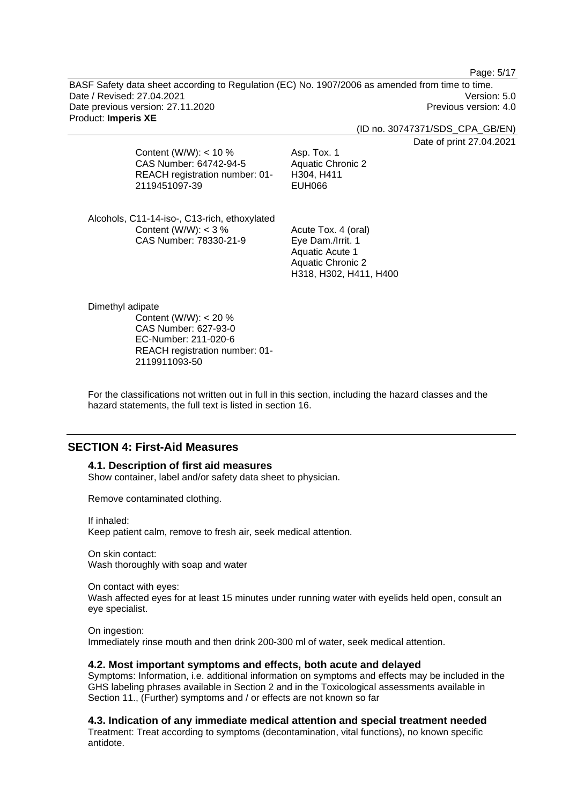Page: 5/17

BASF Safety data sheet according to Regulation (EC) No. 1907/2006 as amended from time to time. Date / Revised: 27.04.2021 Version: 5.0 Date previous version: 27.11.2020 **Previous version: 4.0** Previous version: 4.0 Product: **Imperis XE** 

(ID no. 30747371/SDS\_CPA\_GB/EN)

Date of print 27.04.2021

Content (W/W): < 10 % CAS Number: 64742-94-5 REACH registration number: 01- 2119451097-39

Asp. Tox. 1 Aquatic Chronic 2 H304, H411 EUH066

Alcohols, C11-14-iso-, C13-rich, ethoxylated Content (W/W): < 3 % CAS Number: 78330-21-9

Acute Tox. 4 (oral) Eye Dam./Irrit. 1 Aquatic Acute 1 Aquatic Chronic 2 H318, H302, H411, H400

Dimethyl adipate

Content (W/W): < 20 % CAS Number: 627-93-0 EC-Number: 211-020-6 REACH registration number: 01- 2119911093-50

For the classifications not written out in full in this section, including the hazard classes and the hazard statements, the full text is listed in section 16.

# **SECTION 4: First-Aid Measures**

**4.1. Description of first aid measures** 

Show container, label and/or safety data sheet to physician.

Remove contaminated clothing.

If inhaled:

Keep patient calm, remove to fresh air, seek medical attention.

On skin contact: Wash thoroughly with soap and water

On contact with eyes: Wash affected eyes for at least 15 minutes under running water with eyelids held open, consult an eye specialist.

On ingestion: Immediately rinse mouth and then drink 200-300 ml of water, seek medical attention.

### **4.2. Most important symptoms and effects, both acute and delayed**

Symptoms: Information, i.e. additional information on symptoms and effects may be included in the GHS labeling phrases available in Section 2 and in the Toxicological assessments available in Section 11., (Further) symptoms and / or effects are not known so far

**4.3. Indication of any immediate medical attention and special treatment needed** 

Treatment: Treat according to symptoms (decontamination, vital functions), no known specific antidote.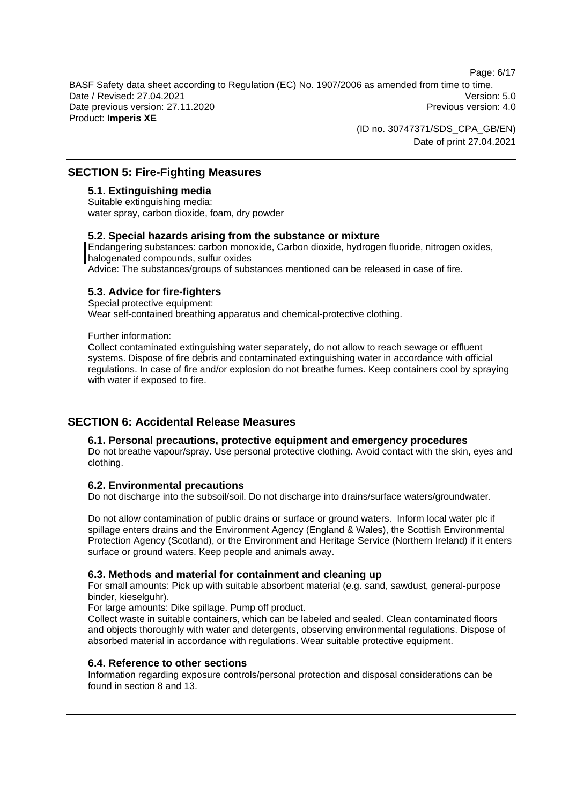Page: 6/17

BASF Safety data sheet according to Regulation (EC) No. 1907/2006 as amended from time to time. Date / Revised: 27.04.2021 Version: 5.0 Date previous version: 27.11.2020 **Previous version: 4.0** Previous version: 4.0 Product: **Imperis XE** 

> (ID no. 30747371/SDS\_CPA\_GB/EN) Date of print 27.04.2021

# **SECTION 5: Fire-Fighting Measures**

## **5.1. Extinguishing media**

Suitable extinguishing media: water spray, carbon dioxide, foam, dry powder

#### **5.2. Special hazards arising from the substance or mixture**

Endangering substances: carbon monoxide, Carbon dioxide, hydrogen fluoride, nitrogen oxides, halogenated compounds, sulfur oxides Advice: The substances/groups of substances mentioned can be released in case of fire.

### **5.3. Advice for fire-fighters**

Special protective equipment: Wear self-contained breathing apparatus and chemical-protective clothing.

Further information:

Collect contaminated extinguishing water separately, do not allow to reach sewage or effluent systems. Dispose of fire debris and contaminated extinguishing water in accordance with official regulations. In case of fire and/or explosion do not breathe fumes. Keep containers cool by spraying with water if exposed to fire.

## **SECTION 6: Accidental Release Measures**

### **6.1. Personal precautions, protective equipment and emergency procedures**

Do not breathe vapour/spray. Use personal protective clothing. Avoid contact with the skin, eyes and clothing.

## **6.2. Environmental precautions**

Do not discharge into the subsoil/soil. Do not discharge into drains/surface waters/groundwater.

Do not allow contamination of public drains or surface or ground waters. Inform local water plc if spillage enters drains and the Environment Agency (England & Wales), the Scottish Environmental Protection Agency (Scotland), or the Environment and Heritage Service (Northern Ireland) if it enters surface or ground waters. Keep people and animals away.

### **6.3. Methods and material for containment and cleaning up**

For small amounts: Pick up with suitable absorbent material (e.g. sand, sawdust, general-purpose binder, kieselguhr).

For large amounts: Dike spillage. Pump off product.

Collect waste in suitable containers, which can be labeled and sealed. Clean contaminated floors and objects thoroughly with water and detergents, observing environmental regulations. Dispose of absorbed material in accordance with regulations. Wear suitable protective equipment.

### **6.4. Reference to other sections**

Information regarding exposure controls/personal protection and disposal considerations can be found in section 8 and 13.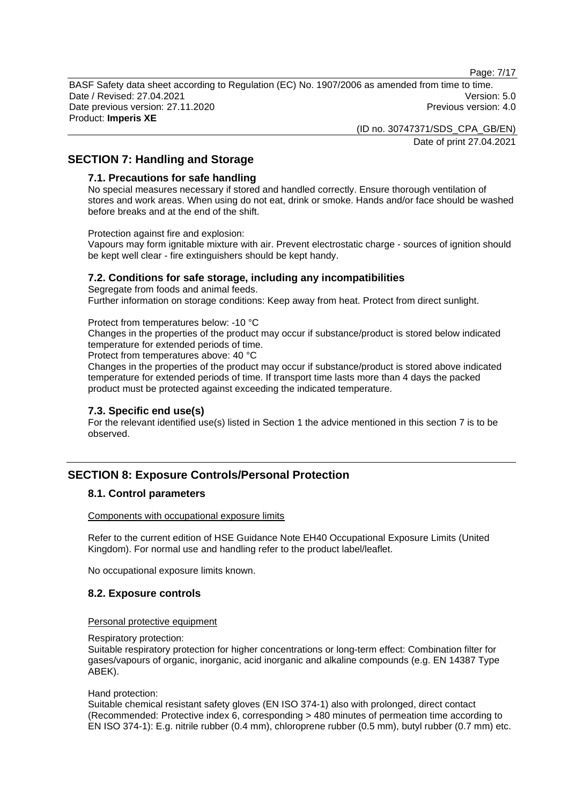Page: 7/17

BASF Safety data sheet according to Regulation (EC) No. 1907/2006 as amended from time to time. Date / Revised: 27.04.2021 Version: 5.0 Date previous version: 27.11.2020 **Previous version: 4.0** Previous version: 4.0 Product: **Imperis XE** 

> (ID no. 30747371/SDS\_CPA\_GB/EN) Date of print 27.04.2021

# **SECTION 7: Handling and Storage**

#### **7.1. Precautions for safe handling**

No special measures necessary if stored and handled correctly. Ensure thorough ventilation of stores and work areas. When using do not eat, drink or smoke. Hands and/or face should be washed before breaks and at the end of the shift.

Protection against fire and explosion:

Vapours may form ignitable mixture with air. Prevent electrostatic charge - sources of ignition should be kept well clear - fire extinguishers should be kept handy.

### **7.2. Conditions for safe storage, including any incompatibilities**

Segregate from foods and animal feeds. Further information on storage conditions: Keep away from heat. Protect from direct sunlight.

Protect from temperatures below: -10 °C

Changes in the properties of the product may occur if substance/product is stored below indicated temperature for extended periods of time.

Protect from temperatures above: 40 °C

Changes in the properties of the product may occur if substance/product is stored above indicated temperature for extended periods of time. If transport time lasts more than 4 days the packed product must be protected against exceeding the indicated temperature.

### **7.3. Specific end use(s)**

For the relevant identified use(s) listed in Section 1 the advice mentioned in this section 7 is to be observed.

# **SECTION 8: Exposure Controls/Personal Protection**

## **8.1. Control parameters**

Components with occupational exposure limits

Refer to the current edition of HSE Guidance Note EH40 Occupational Exposure Limits (United Kingdom). For normal use and handling refer to the product label/leaflet.

No occupational exposure limits known.

### **8.2. Exposure controls**

#### Personal protective equipment

Respiratory protection:

Suitable respiratory protection for higher concentrations or long-term effect: Combination filter for gases/vapours of organic, inorganic, acid inorganic and alkaline compounds (e.g. EN 14387 Type ABEK).

#### Hand protection:

Suitable chemical resistant safety gloves (EN ISO 374-1) also with prolonged, direct contact (Recommended: Protective index 6, corresponding > 480 minutes of permeation time according to EN ISO 374-1): E.g. nitrile rubber (0.4 mm), chloroprene rubber (0.5 mm), butyl rubber (0.7 mm) etc.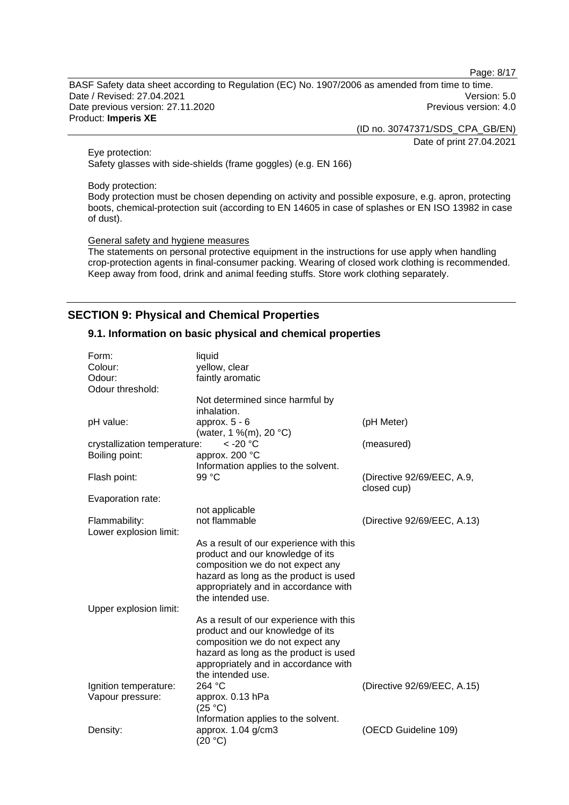Page: 8/17

BASF Safety data sheet according to Regulation (EC) No. 1907/2006 as amended from time to time. Date / Revised: 27.04.2021 Version: 5.0 Date previous version: 27.11.2020 **Previous version: 4.0** Previous version: 4.0 Product: **Imperis XE** 

(ID no. 30747371/SDS\_CPA\_GB/EN)

Date of print 27.04.2021

Eye protection: Safety glasses with side-shields (frame goggles) (e.g. EN 166)

Body protection:

Body protection must be chosen depending on activity and possible exposure, e.g. apron, protecting boots, chemical-protection suit (according to EN 14605 in case of splashes or EN ISO 13982 in case of dust).

General safety and hygiene measures

The statements on personal protective equipment in the instructions for use apply when handling crop-protection agents in final-consumer packing. Wearing of closed work clothing is recommended. Keep away from food, drink and animal feeding stuffs. Store work clothing separately.

# **SECTION 9: Physical and Chemical Properties**

## **9.1. Information on basic physical and chemical properties**

| Form:                        | liquid                                  |                                           |
|------------------------------|-----------------------------------------|-------------------------------------------|
| Colour:                      | yellow, clear                           |                                           |
| Odour:                       | faintly aromatic                        |                                           |
| Odour threshold:             |                                         |                                           |
|                              | Not determined since harmful by         |                                           |
|                              | inhalation.                             |                                           |
| pH value:                    | approx. $5 - 6$                         | (pH Meter)                                |
|                              | (water, 1 %(m), 20 °C)                  |                                           |
| crystallization temperature: | $<$ -20 $^{\circ}$ C                    | (measured)                                |
| Boiling point:               | approx. 200 °C                          |                                           |
|                              | Information applies to the solvent.     |                                           |
| Flash point:                 | 99 °C                                   | (Directive 92/69/EEC, A.9,<br>closed cup) |
| Evaporation rate:            |                                         |                                           |
|                              | not applicable                          |                                           |
| Flammability:                | not flammable                           | (Directive 92/69/EEC, A.13)               |
| Lower explosion limit:       |                                         |                                           |
|                              | As a result of our experience with this |                                           |
|                              | product and our knowledge of its        |                                           |
|                              | composition we do not expect any        |                                           |
|                              | hazard as long as the product is used   |                                           |
|                              | appropriately and in accordance with    |                                           |
|                              | the intended use.                       |                                           |
| Upper explosion limit:       |                                         |                                           |
|                              | As a result of our experience with this |                                           |
|                              | product and our knowledge of its        |                                           |
|                              | composition we do not expect any        |                                           |
|                              | hazard as long as the product is used   |                                           |
|                              | appropriately and in accordance with    |                                           |
|                              | the intended use.                       |                                           |
| Ignition temperature:        | 264 °C                                  | (Directive 92/69/EEC, A.15)               |
| Vapour pressure:             | approx. 0.13 hPa                        |                                           |
|                              | (25 °C)                                 |                                           |
|                              | Information applies to the solvent.     |                                           |
| Density:                     | approx. 1.04 g/cm3                      | (OECD Guideline 109)                      |
|                              | (20 °C)                                 |                                           |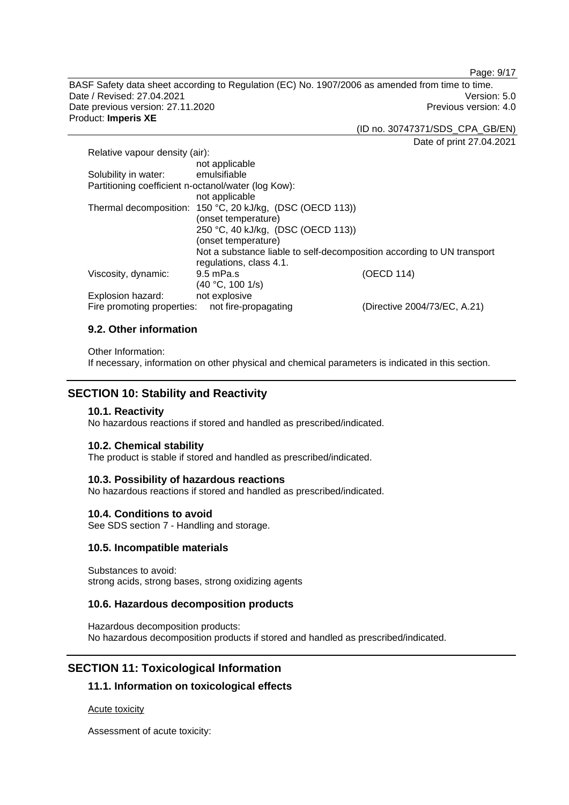Page: 9/17

BASF Safety data sheet according to Regulation (EC) No. 1907/2006 as amended from time to time. Date / Revised: 27.04.2021 Version: 5.0 Date previous version: 27.11.2020 **Previous version: 4.0** Previous version: 4.0 Product: **Imperis XE** 

(ID no. 30747371/SDS\_CPA\_GB/EN)

Date of print 27.04.2021

| Relative vapour density (air):                            |                                    |                                                                        |
|-----------------------------------------------------------|------------------------------------|------------------------------------------------------------------------|
|                                                           | not applicable                     |                                                                        |
| Solubility in water:                                      | emulsifiable                       |                                                                        |
| Partitioning coefficient n-octanol/water (log Kow):       |                                    |                                                                        |
|                                                           | not applicable                     |                                                                        |
| Thermal decomposition: 150 °C, 20 kJ/kg, (DSC (OECD 113)) |                                    |                                                                        |
|                                                           | (onset temperature)                |                                                                        |
|                                                           | 250 °C, 40 kJ/kg, (DSC (OECD 113)) |                                                                        |
|                                                           | (onset temperature)                |                                                                        |
|                                                           |                                    | Not a substance liable to self-decomposition according to UN transport |
|                                                           | regulations, class 4.1.            |                                                                        |
| Viscosity, dynamic:                                       | $9.5$ mPa.s                        | (OECD 114)                                                             |
|                                                           | (40 °C, 100 1/s)                   |                                                                        |
| Explosion hazard:                                         | not explosive                      |                                                                        |
| Fire promoting properties:                                | not fire-propagating               | (Directive 2004/73/EC, A.21)                                           |

## **9.2. Other information**

Other Information:

If necessary, information on other physical and chemical parameters is indicated in this section.

# **SECTION 10: Stability and Reactivity**

### **10.1. Reactivity**

No hazardous reactions if stored and handled as prescribed/indicated.

## **10.2. Chemical stability**

The product is stable if stored and handled as prescribed/indicated.

## **10.3. Possibility of hazardous reactions**

No hazardous reactions if stored and handled as prescribed/indicated.

## **10.4. Conditions to avoid**

See SDS section 7 - Handling and storage.

## **10.5. Incompatible materials**

Substances to avoid: strong acids, strong bases, strong oxidizing agents

## **10.6. Hazardous decomposition products**

Hazardous decomposition products: No hazardous decomposition products if stored and handled as prescribed/indicated.

# **SECTION 11: Toxicological Information**

## **11.1. Information on toxicological effects**

## Acute toxicity

Assessment of acute toxicity: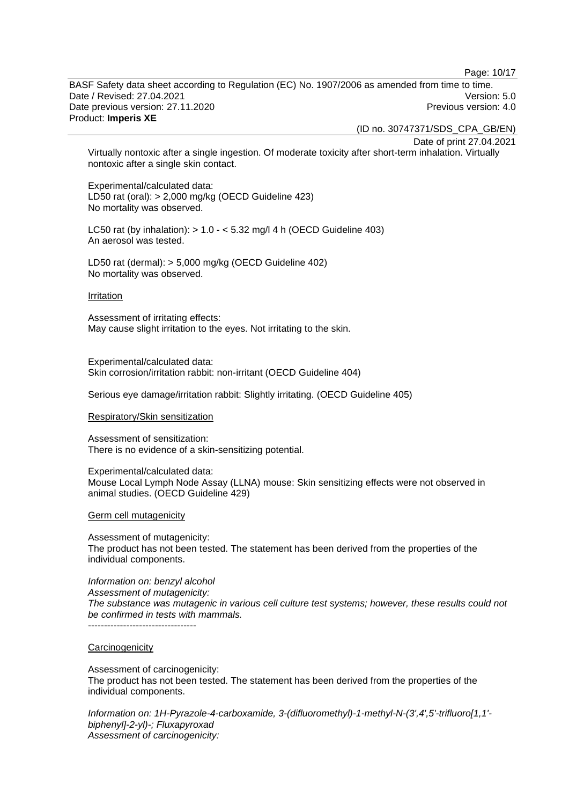Page: 10/17

BASF Safety data sheet according to Regulation (EC) No. 1907/2006 as amended from time to time. Date / Revised: 27.04.2021 Version: 5.0 Date previous version: 27.11.2020 **Previous version: 4.0** Previous version: 4.0 Product: **Imperis XE** 

(ID no. 30747371/SDS\_CPA\_GB/EN)

Date of print 27.04.2021

Virtually nontoxic after a single ingestion. Of moderate toxicity after short-term inhalation. Virtually nontoxic after a single skin contact.

Experimental/calculated data: LD50 rat (oral): > 2,000 mg/kg (OECD Guideline 423) No mortality was observed.

LC50 rat (by inhalation):  $> 1.0 - 5.32$  mg/l 4 h (OECD Guideline 403) An aerosol was tested.

LD50 rat (dermal): > 5,000 mg/kg (OECD Guideline 402) No mortality was observed.

#### Irritation

Assessment of irritating effects: May cause slight irritation to the eyes. Not irritating to the skin.

Experimental/calculated data: Skin corrosion/irritation rabbit: non-irritant (OECD Guideline 404)

Serious eye damage/irritation rabbit: Slightly irritating. (OECD Guideline 405)

#### Respiratory/Skin sensitization

Assessment of sensitization: There is no evidence of a skin-sensitizing potential.

Experimental/calculated data: Mouse Local Lymph Node Assay (LLNA) mouse: Skin sensitizing effects were not observed in animal studies. (OECD Guideline 429)

Germ cell mutagenicity

Assessment of mutagenicity: The product has not been tested. The statement has been derived from the properties of the individual components.

*Information on: benzyl alcohol Assessment of mutagenicity: The substance was mutagenic in various cell culture test systems; however, these results could not be confirmed in tests with mammals.* 

#### **Carcinogenicity**

Assessment of carcinogenicity: The product has not been tested. The statement has been derived from the properties of the individual components.

*Information on: 1H-Pyrazole-4-carboxamide, 3-(difluoromethyl)-1-methyl-N-(3',4',5'-trifluoro[1,1' biphenyl]-2-yl)-; Fluxapyroxad Assessment of carcinogenicity:*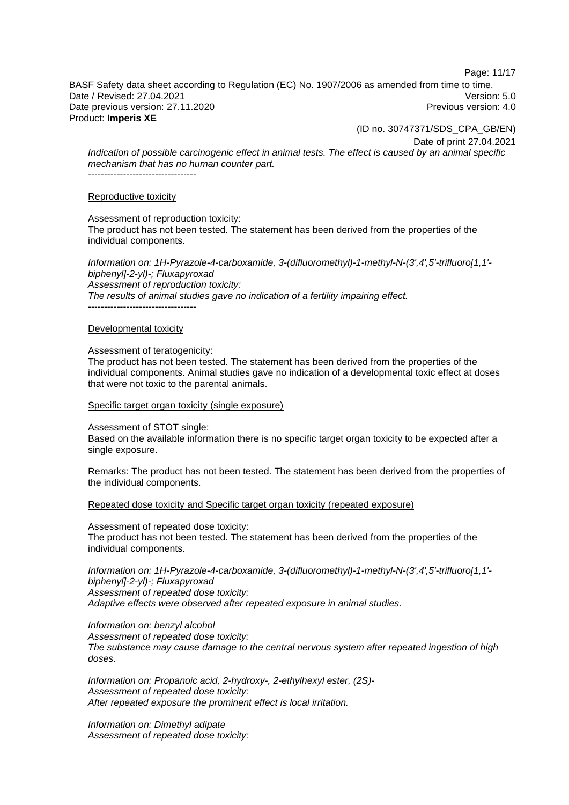Page: 11/17

BASF Safety data sheet according to Regulation (EC) No. 1907/2006 as amended from time to time. Date / Revised: 27.04.2021 Version: 5.0 Date previous version: 27.11.2020 **Previous version: 4.0** Previous version: 4.0 Product: **Imperis XE** 

(ID no. 30747371/SDS\_CPA\_GB/EN)

Date of print 27.04.2021

*Indication of possible carcinogenic effect in animal tests. The effect is caused by an animal specific mechanism that has no human counter part.*  ----------------------------------

#### Reproductive toxicity

Assessment of reproduction toxicity:

The product has not been tested. The statement has been derived from the properties of the individual components.

*Information on: 1H-Pyrazole-4-carboxamide, 3-(difluoromethyl)-1-methyl-N-(3',4',5'-trifluoro[1,1' biphenyl]-2-yl)-; Fluxapyroxad Assessment of reproduction toxicity: The results of animal studies gave no indication of a fertility impairing effect.*  -----------------------------------

#### Developmental toxicity

#### Assessment of teratogenicity:

The product has not been tested. The statement has been derived from the properties of the individual components. Animal studies gave no indication of a developmental toxic effect at doses that were not toxic to the parental animals.

#### Specific target organ toxicity (single exposure)

Assessment of STOT single:

Based on the available information there is no specific target organ toxicity to be expected after a single exposure.

Remarks: The product has not been tested. The statement has been derived from the properties of the individual components.

Repeated dose toxicity and Specific target organ toxicity (repeated exposure)

Assessment of repeated dose toxicity: The product has not been tested. The statement has been derived from the properties of the individual components.

*Information on: 1H-Pyrazole-4-carboxamide, 3-(difluoromethyl)-1-methyl-N-(3',4',5'-trifluoro[1,1' biphenyl]-2-yl)-; Fluxapyroxad Assessment of repeated dose toxicity:* 

*Adaptive effects were observed after repeated exposure in animal studies.* 

*Information on: benzyl alcohol* 

*Assessment of repeated dose toxicity: The substance may cause damage to the central nervous system after repeated ingestion of high doses.* 

*Information on: Propanoic acid, 2-hydroxy-, 2-ethylhexyl ester, (2S)- Assessment of repeated dose toxicity: After repeated exposure the prominent effect is local irritation.* 

*Information on: Dimethyl adipate Assessment of repeated dose toxicity:*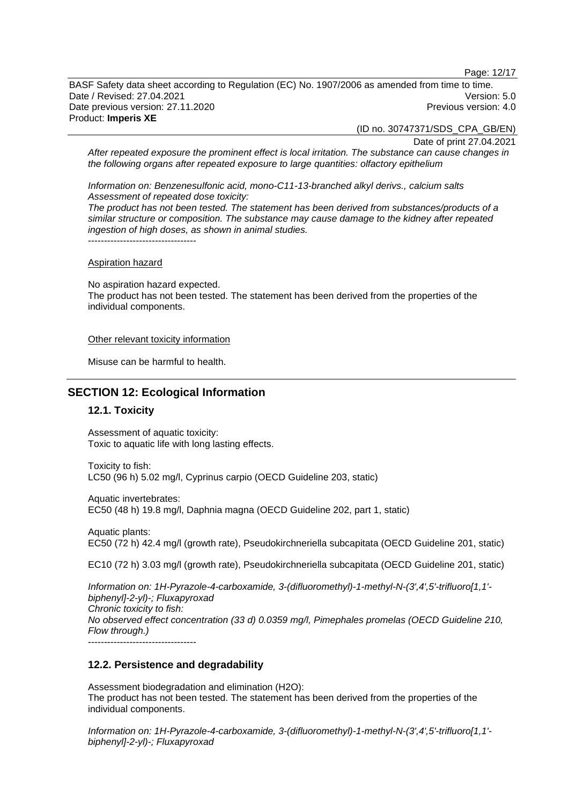Page: 12/17

BASF Safety data sheet according to Regulation (EC) No. 1907/2006 as amended from time to time. Date / Revised: 27.04.2021 Version: 5.0 Date previous version: 27.11.2020 **Previous version: 4.0** Previous version: 4.0 Product: **Imperis XE** 

(ID no. 30747371/SDS\_CPA\_GB/EN)

Date of print 27.04.2021

*After repeated exposure the prominent effect is local irritation. The substance can cause changes in the following organs after repeated exposure to large quantities: olfactory epithelium* 

*Information on: Benzenesulfonic acid, mono-C11-13-branched alkyl derivs., calcium salts Assessment of repeated dose toxicity:* 

*The product has not been tested. The statement has been derived from substances/products of a similar structure or composition. The substance may cause damage to the kidney after repeated ingestion of high doses, as shown in animal studies.*  -----------------------------------

#### Aspiration hazard

No aspiration hazard expected. The product has not been tested. The statement has been derived from the properties of the individual components.

#### Other relevant toxicity information

Misuse can be harmful to health.

## **SECTION 12: Ecological Information**

### **12.1. Toxicity**

Assessment of aquatic toxicity: Toxic to aquatic life with long lasting effects.

Toxicity to fish: LC50 (96 h) 5.02 mg/l, Cyprinus carpio (OECD Guideline 203, static)

Aquatic invertebrates: EC50 (48 h) 19.8 mg/l, Daphnia magna (OECD Guideline 202, part 1, static)

Aquatic plants: EC50 (72 h) 42.4 mg/l (growth rate), Pseudokirchneriella subcapitata (OECD Guideline 201, static)

EC10 (72 h) 3.03 mg/l (growth rate), Pseudokirchneriella subcapitata (OECD Guideline 201, static)

*Information on: 1H-Pyrazole-4-carboxamide, 3-(difluoromethyl)-1-methyl-N-(3',4',5'-trifluoro[1,1' biphenyl]-2-yl)-; Fluxapyroxad Chronic toxicity to fish: No observed effect concentration (33 d) 0.0359 mg/l, Pimephales promelas (OECD Guideline 210, Flow through.)*  ----------------------------------

### **12.2. Persistence and degradability**

Assessment biodegradation and elimination (H2O): The product has not been tested. The statement has been derived from the properties of the individual components.

*Information on: 1H-Pyrazole-4-carboxamide, 3-(difluoromethyl)-1-methyl-N-(3',4',5'-trifluoro[1,1' biphenyl]-2-yl)-; Fluxapyroxad*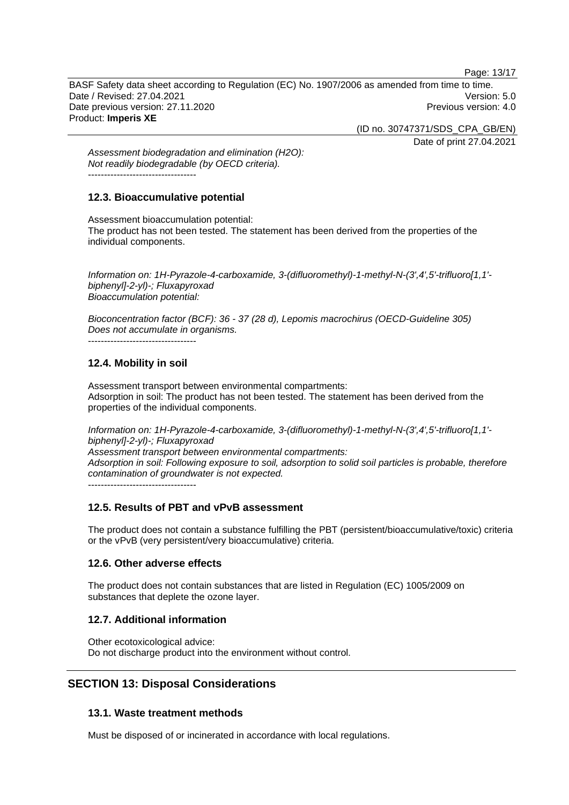Page: 13/17

BASF Safety data sheet according to Regulation (EC) No. 1907/2006 as amended from time to time. Date / Revised: 27.04.2021 Version: 5.0 Date previous version: 27.11.2020 **Previous version: 4.0** Previous version: 4.0 Product: **Imperis XE** 

(ID no. 30747371/SDS\_CPA\_GB/EN)

Date of print 27.04.2021

*Assessment biodegradation and elimination (H2O): Not readily biodegradable (by OECD criteria).*  ----------------------------------

## **12.3. Bioaccumulative potential**

Assessment bioaccumulation potential: The product has not been tested. The statement has been derived from the properties of the individual components.

*Information on: 1H-Pyrazole-4-carboxamide, 3-(difluoromethyl)-1-methyl-N-(3',4',5'-trifluoro[1,1' biphenyl]-2-yl)-; Fluxapyroxad Bioaccumulation potential:* 

*Bioconcentration factor (BCF): 36 - 37 (28 d), Lepomis macrochirus (OECD-Guideline 305) Does not accumulate in organisms.* 

----------------------------------

# **12.4. Mobility in soil**

Assessment transport between environmental compartments: Adsorption in soil: The product has not been tested. The statement has been derived from the properties of the individual components.

*Information on: 1H-Pyrazole-4-carboxamide, 3-(difluoromethyl)-1-methyl-N-(3',4',5'-trifluoro[1,1' biphenyl]-2-yl)-; Fluxapyroxad Assessment transport between environmental compartments: Adsorption in soil: Following exposure to soil, adsorption to solid soil particles is probable, therefore contamination of groundwater is not expected.* -----------------------------------

# **12.5. Results of PBT and vPvB assessment**

The product does not contain a substance fulfilling the PBT (persistent/bioaccumulative/toxic) criteria or the vPvB (very persistent/very bioaccumulative) criteria.

## **12.6. Other adverse effects**

The product does not contain substances that are listed in Regulation (EC) 1005/2009 on substances that deplete the ozone layer.

# **12.7. Additional information**

Other ecotoxicological advice: Do not discharge product into the environment without control.

# **SECTION 13: Disposal Considerations**

# **13.1. Waste treatment methods**

Must be disposed of or incinerated in accordance with local regulations.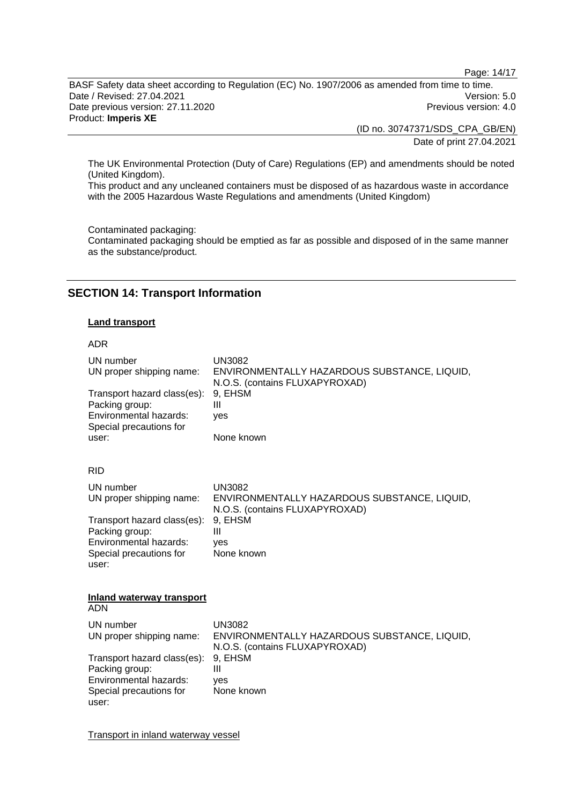Page: 14/17

BASF Safety data sheet according to Regulation (EC) No. 1907/2006 as amended from time to time. Date / Revised: 27.04.2021 Version: 5.0 Date previous version: 27.11.2020 **Previous version: 4.0** Previous version: 4.0 Product: **Imperis XE** 

(ID no. 30747371/SDS\_CPA\_GB/EN) Date of print 27.04.2021

The UK Environmental Protection (Duty of Care) Regulations (EP) and amendments should be noted (United Kingdom).

This product and any uncleaned containers must be disposed of as hazardous waste in accordance with the 2005 Hazardous Waste Regulations and amendments (United Kingdom)

Contaminated packaging:

Contaminated packaging should be emptied as far as possible and disposed of in the same manner as the substance/product.

# **SECTION 14: Transport Information**

## **Land transport**

#### ADR

| UN number<br>UN proper shipping name:<br>Transport hazard class(es):<br>Packing group:<br>Environmental hazards:<br>Special precautions for<br>user: | <b>UN3082</b><br>ENVIRONMENTALLY HAZARDOUS SUBSTANCE, LIQUID,<br>N.O.S. (contains FLUXAPYROXAD)<br>9, EHSM<br>Ш<br>yes<br>None known |  |
|------------------------------------------------------------------------------------------------------------------------------------------------------|--------------------------------------------------------------------------------------------------------------------------------------|--|
| <b>RID</b>                                                                                                                                           |                                                                                                                                      |  |
| UN number<br>UN proper shipping name:                                                                                                                | <b>UN3082</b><br>ENVIRONMENTALLY HAZARDOUS SUBSTANCE, LIQUID,<br>N.O.S. (contains FLUXAPYROXAD)                                      |  |
| Transport hazard class(es):<br>Packing group:<br>Environmental hazards:<br>Special precautions for<br>user:                                          | 9, EHSM<br>Ш<br>ves<br>None known                                                                                                    |  |
| Inland waterway transport<br><b>ADN</b>                                                                                                              |                                                                                                                                      |  |
| UN number<br>UN proper shipping name:                                                                                                                | UN3082<br>ENVIRONMENTALLY HAZARDOUS SUBSTANCE, LIQUID,                                                                               |  |
| Transport hazard class(es):<br>Packing group:<br>Environmental hazards:<br>Special precautions for<br>user:                                          | N.O.S. (contains FLUXAPYROXAD)<br>9, EHSM<br>Ш<br>ves<br>None known                                                                  |  |

Transport in inland waterway vessel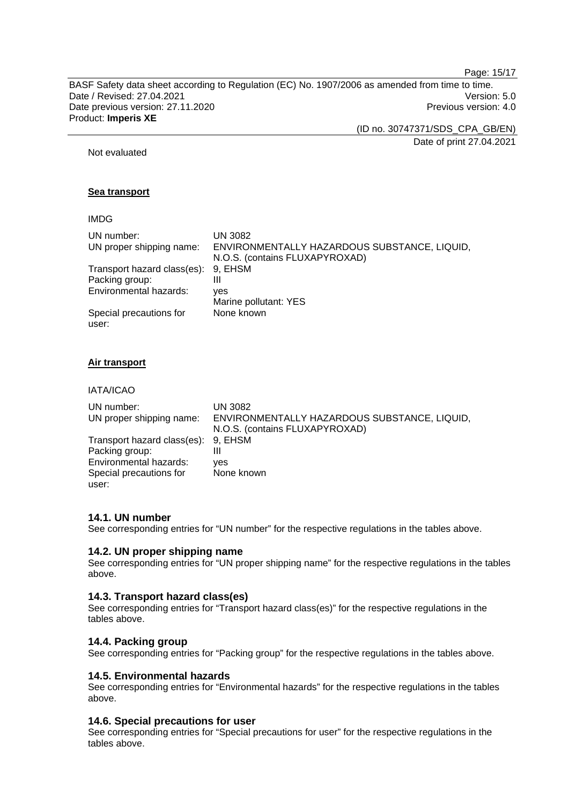Page: 15/17

BASF Safety data sheet according to Regulation (EC) No. 1907/2006 as amended from time to time. Date / Revised: 27.04.2021 Version: 5.0 Date previous version: 27.11.2020 **Previous version: 4.0** Previous version: 4.0 Product: **Imperis XE** 

(ID no. 30747371/SDS\_CPA\_GB/EN)

Date of print 27.04.2021

Not evaluated

## **Sea transport**

## IMDG

| UN number:                  | UN 3082                                      |
|-----------------------------|----------------------------------------------|
| UN proper shipping name:    | ENVIRONMENTALLY HAZARDOUS SUBSTANCE, LIQUID, |
|                             | N.O.S. (contains FLUXAPYROXAD)               |
| Transport hazard class(es): | 9. EHSM                                      |
| Packing group:              | Ш                                            |
| Environmental hazards:      | ves                                          |
|                             | Marine pollutant: YES                        |
| Special precautions for     | None known                                   |
| user:                       |                                              |

## **Air transport**

IATA/ICAO

| UN number:                          | UN 3082                                      |
|-------------------------------------|----------------------------------------------|
| UN proper shipping name:            | ENVIRONMENTALLY HAZARDOUS SUBSTANCE, LIQUID, |
|                                     | N.O.S. (contains FLUXAPYROXAD)               |
| Transport hazard class(es): 9, EHSM |                                              |
| Packing group:                      | Ш                                            |
| Environmental hazards:              | ves                                          |
| Special precautions for             | None known                                   |
| user:                               |                                              |

## **14.1. UN number**

See corresponding entries for "UN number" for the respective regulations in the tables above.

## **14.2. UN proper shipping name**

See corresponding entries for "UN proper shipping name" for the respective regulations in the tables above.

### **14.3. Transport hazard class(es)**

See corresponding entries for "Transport hazard class(es)" for the respective regulations in the tables above.

## **14.4. Packing group**

See corresponding entries for "Packing group" for the respective regulations in the tables above.

## **14.5. Environmental hazards**

See corresponding entries for "Environmental hazards" for the respective regulations in the tables above.

## **14.6. Special precautions for user**

See corresponding entries for "Special precautions for user" for the respective regulations in the tables above.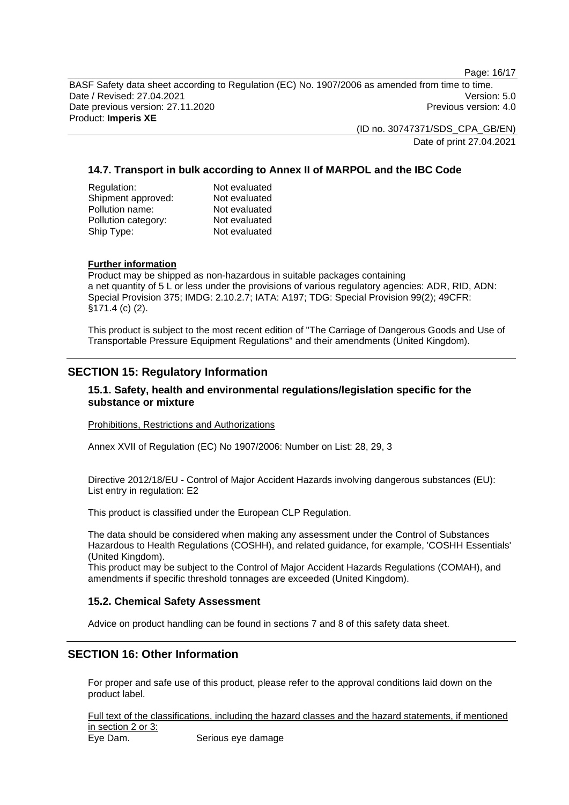Page: 16/17

BASF Safety data sheet according to Regulation (EC) No. 1907/2006 as amended from time to time. Date / Revised: 27.04.2021 Version: 5.0 Date previous version: 27.11.2020 **Previous version: 4.0** Previous version: 4.0 Product: **Imperis XE** 

> (ID no. 30747371/SDS\_CPA\_GB/EN) Date of print 27.04.2021

# **14.7. Transport in bulk according to Annex II of MARPOL and the IBC Code**

| Regulation:         | Not evaluated |
|---------------------|---------------|
| Shipment approved:  | Not evaluated |
| Pollution name:     | Not evaluated |
| Pollution category: | Not evaluated |
| Ship Type:          | Not evaluated |

## **Further information**

Product may be shipped as non-hazardous in suitable packages containing a net quantity of 5 L or less under the provisions of various regulatory agencies: ADR, RID, ADN: Special Provision 375; IMDG: 2.10.2.7; IATA: A197; TDG: Special Provision 99(2); 49CFR: §171.4 (c) (2).

This product is subject to the most recent edition of "The Carriage of Dangerous Goods and Use of Transportable Pressure Equipment Regulations" and their amendments (United Kingdom).

# **SECTION 15: Regulatory Information**

## **15.1. Safety, health and environmental regulations/legislation specific for the substance or mixture**

Prohibitions, Restrictions and Authorizations

Annex XVII of Regulation (EC) No 1907/2006: Number on List: 28, 29, 3

Directive 2012/18/EU - Control of Major Accident Hazards involving dangerous substances (EU): List entry in regulation: E2

This product is classified under the European CLP Regulation.

The data should be considered when making any assessment under the Control of Substances Hazardous to Health Regulations (COSHH), and related guidance, for example, 'COSHH Essentials' (United Kingdom).

This product may be subject to the Control of Major Accident Hazards Regulations (COMAH), and amendments if specific threshold tonnages are exceeded (United Kingdom).

## **15.2. Chemical Safety Assessment**

Advice on product handling can be found in sections 7 and 8 of this safety data sheet.

# **SECTION 16: Other Information**

For proper and safe use of this product, please refer to the approval conditions laid down on the product label.

Full text of the classifications, including the hazard classes and the hazard statements, if mentioned in section 2 or 3: Eye Dam. Serious eye damage